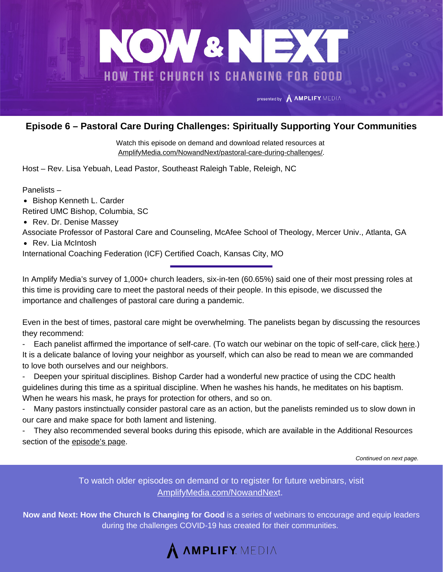

## **Episode 6 – Pastoral Care During Challenges: Spiritually Supporting Your Communities**

Watch this episode on demand and download related resources at [AmplifyMedia.com/NowandNext/pastoral-care-during-challenges/.](https://amplifymedia.com/nowandnext/pastoral-care-during-challenges/)

Host – Rev. Lisa Yebuah, Lead Pastor, Southeast Raleigh Table, Releigh, NC

Panelists –

• Bishop Kenneth L. Carder

Retired UMC Bishop, Columbia, SC

• Rev. Dr. Denise Massey

Associate Professor of Pastoral Care and Counseling, McAfee School of Theology, Mercer Univ., Atlanta, GA

• Rev. Lia McIntosh

International Coaching Federation (ICF) Certified Coach, Kansas City, MO

In Amplify Media's survey of 1,000+ church leaders, six-in-ten (60.65%) said one of their most pressing roles at this time is providing care to meet the pastoral needs of their people. In this episode, we discussed the importance and challenges of pastoral care during a pandemic.

Even in the best of times, pastoral care might be overwhelming. The panelists began by discussing the resources they recommend:

- Each panelist affirmed the importance of self-care. (To watch our webinar on the topic of self-care, click [here](https://amplifymedia.com/nowandnext/taking-self-care-seriously/).) It is a delicate balance of loving your neighbor as yourself, which can also be read to mean we are commanded to love both ourselves and our neighbors.

- Deepen your spiritual disciplines. Bishop Carder had a wonderful new practice of using the CDC health guidelines during this time as a spiritual discipline. When he washes his hands, he meditates on his baptism. When he wears his mask, he prays for protection for others, and so on.

- Many pastors instinctually consider pastoral care as an action, but the panelists reminded us to slow down in our care and make space for both lament and listening.

- They also recommended several books during this episode, which are available in the Additional Resources section of the [episode's](https://amplifymedia.com/nowandnext/pastoral-care-during-challenges/) page.

*Continued on next page.*

To watch older episodes on demand or to register for future webinars, visit [AmplifyMedia.com/NowandNex](https://amplifymedia.com/nowandnext/)t.

**Now and Next: How the Church Is Changing for Good** is a series of webinars to encourage and equip leaders during the challenges COVID-19 has created for their communities.